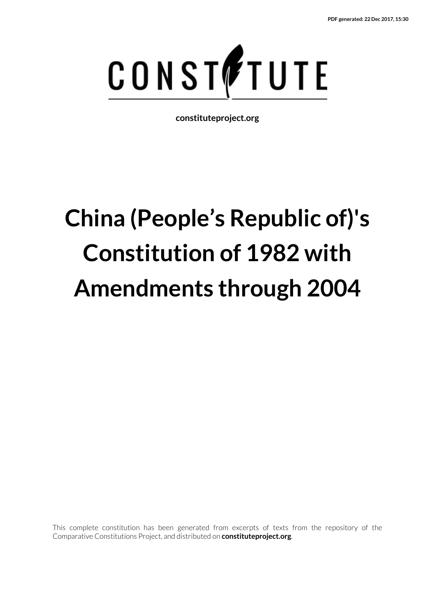

**constituteproject.org**

# **China (People's Republic of)'s Constitution of 1982 with Amendments through 2004**

This complete constitution has been generated from excerpts of texts from the repository of the Comparative Constitutions Project, and distributed on **constituteproject.org**.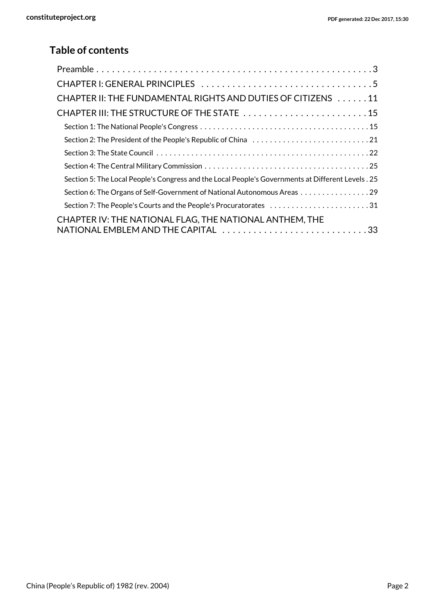### **Table of contents**

| CHAPTER II: THE FUNDAMENTAL RIGHTS AND DUTIES OF CITIZENS 11                                       |
|----------------------------------------------------------------------------------------------------|
|                                                                                                    |
|                                                                                                    |
|                                                                                                    |
|                                                                                                    |
|                                                                                                    |
| Section 5: The Local People's Congress and the Local People's Governments at Different Levels . 25 |
| Section 6: The Organs of Self-Government of National Autonomous Areas 29                           |
| Section 7: The People's Courts and the People's Procuratorates 31                                  |
| CHAPTER IV: THE NATIONAL FLAG, THE NATIONAL ANTHEM, THE<br>NATIONAL EMBLEM AND THE CAPITAL 33      |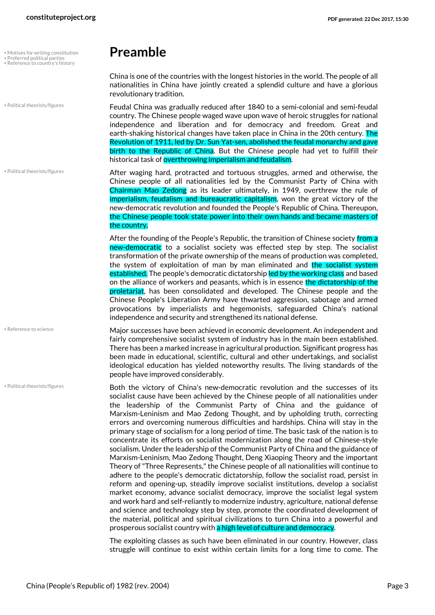- Motives for writing constitution Motives for writing constitution **Preamble**
- • Reference to country's history

• Political theorists/figures

• Political theorists/figures

• Reference to science

• Political theorists/figures

<span id="page-2-4"></span><span id="page-2-3"></span><span id="page-2-1"></span><span id="page-2-0"></span>China is one of the countries with the longest histories in the world. The people of all nationalities in China have jointly created a splendid culture and have a glorious revolutionary tradition.

Feudal China was gradually reduced after 1840 to a semi-colonial and semi-feudal country. The Chinese people waged wave upon wave of heroic struggles for national independence and liberation and for democracy and freedom. Great and earth-shaking historical changes have taken place in China in the 20th century. The Revolution of 1911, led by Dr. Sun Yat-sen, abolished the feudal monarchy and gave birth to the Republic of China. But the Chinese people had yet to fulfill their historical task of overthrowing imperialism and feudalism.

After waging hard, protracted and tortuous struggles, armed and otherwise, the Chinese people of all nationalities led by the Communist Party of China with Chairman Mao Zedong as its leader ultimately, in 1949, overthrew the rule of imperialism, feudalism and bureaucratic capitalism, won the great victory of the new-democratic revolution and founded the People's Republic of China. Thereupon, the Chinese people took state power into their own hands and became masters of the country.

After the founding of the People's Republic, the transition of Chinese society from a new-democratic to a socialist society was effected step by step. The socialist transformation of the private ownership of the means of production was completed, the system of exploitation of man by man eliminated and the socialist system established. The people's democratic dictatorship led by the working class and based on the alliance of workers and peasants, which is in essence the dictatorship of the proletariat, has been consolidated and developed. The Chinese people and the Chinese People's Liberation Army have thwarted aggression, sabotage and armed provocations by imperialists and hegemonists, safeguarded China's national independence and security and strengthened its national defense.

<span id="page-2-5"></span>Major successes have been achieved in economic development. An independent and fairly comprehensive socialist system of industry has in the main been established. There has been a marked increase in agricultural production. Significant progress has been made in educational, scientific, cultural and other undertakings, and socialist ideological education has yielded noteworthy results. The living standards of the people have improved considerably.

<span id="page-2-2"></span>Both the victory of China's new-democratic revolution and the successes of its socialist cause have been achieved by the Chinese people of all nationalities under the leadership of the Communist Party of China and the guidance of Marxism-Leninism and Mao Zedong Thought, and by upholding truth, correcting errors and overcoming numerous difficulties and hardships. China will stay in the primary stage of socialism for a long period of time. The basic task of the nation is to concentrate its efforts on socialist modernization along the road of Chinese-style socialism. Under the leadership of the Communist Party of China and the guidance of Marxism-Leninism, Mao Zedong Thought, Deng Xiaoping Theory and the important Theory of "Three Represents," the Chinese people of all nationalities will continue to adhere to the people's democratic dictatorship, follow the socialist road, persist in reform and opening-up, steadily improve socialist institutions, develop a socialist market economy, advance socialist democracy, improve the socialist legal system and work hard and self-reliantly to modernize industry, agriculture, national defense and science and technology step by step, promote the coordinated development of the material, political and spiritual civilizations to turn China into a powerful and prosperous socialist country with a high level of culture and democracy.

The exploiting classes as such have been eliminated in our country. However, class struggle will continue to exist within certain limits for a long time to come. The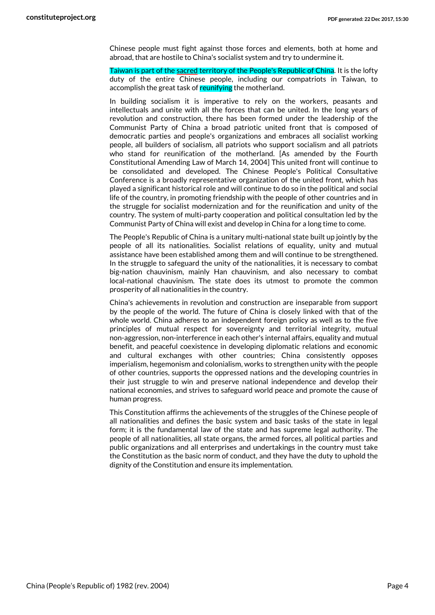Chinese people must fight against those forces and elements, both at home and abroad, that are hostile to China's socialist system and try to undermine it.

Taiwan is part of the sacred territory of the People's Republic of China. It is the lofty duty of the entire Chinese people, including our compatriots in Taiwan, to accomplish the great task of reunifying the motherland.

In building socialism it is imperative to rely on the workers, peasants and intellectuals and unite with all the forces that can be united. In the long years of revolution and construction, there has been formed under the leadership of the Communist Party of China a broad patriotic united front that is composed of democratic parties and people's organizations and embraces all socialist working people, all builders of socialism, all patriots who support socialism and all patriots who stand for reunification of the motherland. [As amended by the Fourth Constitutional Amending Law of March 14, 2004] This united front will continue to be consolidated and developed. The Chinese People's Political Consultative Conference is a broadly representative organization of the united front, which has played a significant historical role and will continue to do so in the political and social life of the country, in promoting friendship with the people of other countries and in the struggle for socialist modernization and for the reunification and unity of the country. The system of multi-party cooperation and political consultation led by the Communist Party of China will exist and develop in China for a long time to come.

The People's Republic of China is a unitary multi-national state built up jointly by the people of all its nationalities. Socialist relations of equality, unity and mutual assistance have been established among them and will continue to be strengthened. In the struggle to safeguard the unity of the nationalities, it is necessary to combat big-nation chauvinism, mainly Han chauvinism, and also necessary to combat local-national chauvinism. The state does its utmost to promote the common prosperity of all nationalities in the country.

China's achievements in revolution and construction are inseparable from support by the people of the world. The future of China is closely linked with that of the whole world. China adheres to an independent foreign policy as well as to the five principles of mutual respect for sovereignty and territorial integrity, mutual non-aggression, non-interference in each other's internal affairs, equality and mutual benefit, and peaceful coexistence in developing diplomatic relations and economic and cultural exchanges with other countries; China consistently opposes imperialism, hegemonism and colonialism, works to strengthen unity with the people of other countries, supports the oppressed nations and the developing countries in their just struggle to win and preserve national independence and develop their national economies, and strives to safeguard world peace and promote the cause of human progress.

This Constitution affirms the achievements of the struggles of the Chinese people of all nationalities and defines the basic system and basic tasks of the state in legal form; it is the fundamental law of the state and has supreme legal authority. The people of all nationalities, all state organs, the armed forces, all political parties and public organizations and all enterprises and undertakings in the country must take the Constitution as the basic norm of conduct, and they have the duty to uphold the dignity of the Constitution and ensure its implementation.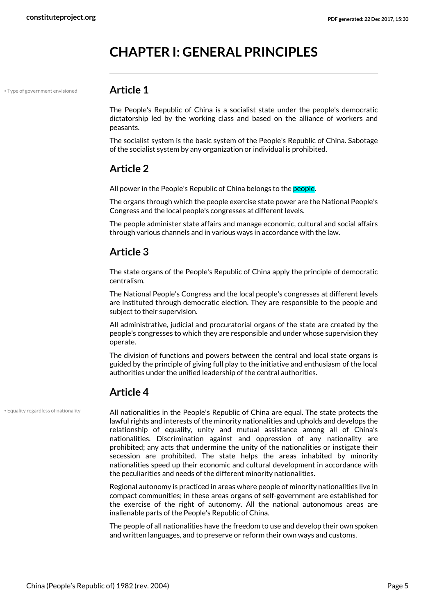## <span id="page-4-0"></span>**CHAPTER I: GENERAL PRINCIPLES**

• Type of government envisioned **Article 1**

<span id="page-4-2"></span>The People's Republic of China is a socialist state under the people's democratic dictatorship led by the working class and based on the alliance of workers and peasants.

The socialist system is the basic system of the People's Republic of China. Sabotage of the socialist system by any organization or individual is prohibited.

#### **Article 2**

All power in the People's Republic of China belongs to the **people.** 

The organs through which the people exercise state power are the National People's Congress and the local people's congresses at different levels.

The people administer state affairs and manage economic, cultural and social affairs through various channels and in various ways in accordance with the law.

#### **Article 3**

The state organs of the People's Republic of China apply the principle of democratic centralism.

The National People's Congress and the local people's congresses at different levels are instituted through democratic election. They are responsible to the people and subject to their supervision.

All administrative, judicial and procuratorial organs of the state are created by the people's congresses to which they are responsible and under whose supervision they operate.

The division of functions and powers between the central and local state organs is guided by the principle of giving full play to the initiative and enthusiasm of the local authorities under the unified leadership of the central authorities.

#### **Article 4**

• Equality regardless of nationality

<span id="page-4-1"></span>All nationalities in the People's Republic of China are equal. The state protects the lawful rights and interests of the minority nationalities and upholds and develops the relationship of equality, unity and mutual assistance among all of China's nationalities. Discrimination against and oppression of any nationality are prohibited; any acts that undermine the unity of the nationalities or instigate their secession are prohibited. The state helps the areas inhabited by minority nationalities speed up their economic and cultural development in accordance with the peculiarities and needs of the different minority nationalities.

Regional autonomy is practiced in areas where people of minority nationalities live in compact communities; in these areas organs of self-government are established for the exercise of the right of autonomy. All the national autonomous areas are inalienable parts of the People's Republic of China.

The people of all nationalities have the freedom to use and develop their own spoken and written languages, and to preserve or reform their own ways and customs.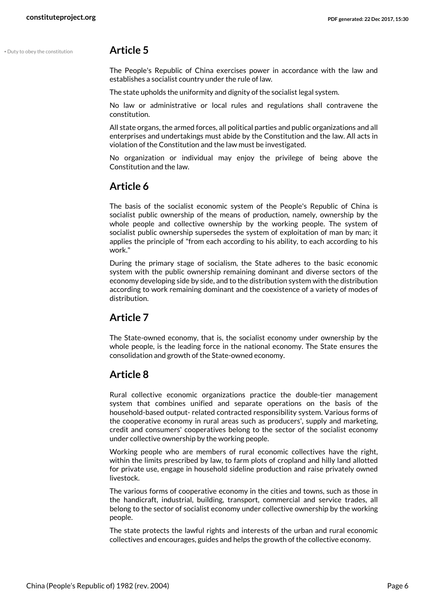• Duty to obey the constitution **Article 5**

<span id="page-5-0"></span>The People's Republic of China exercises power in accordance with the law and establishes a socialist country under the rule of law.

The state upholds the uniformity and dignity of the socialist legal system.

No law or administrative or local rules and regulations shall contravene the constitution.

All state organs, the armed forces, all political parties and public organizations and all enterprises and undertakings must abide by the Constitution and the law. All acts in violation of the Constitution and the law must be investigated.

No organization or individual may enjoy the privilege of being above the Constitution and the law.

#### **Article 6**

The basis of the socialist economic system of the People's Republic of China is socialist public ownership of the means of production, namely, ownership by the whole people and collective ownership by the working people. The system of socialist public ownership supersedes the system of exploitation of man by man; it applies the principle of "from each according to his ability, to each according to his work."

During the primary stage of socialism, the State adheres to the basic economic system with the public ownership remaining dominant and diverse sectors of the economy developing side by side, and to the distribution system with the distribution according to work remaining dominant and the coexistence of a variety of modes of distribution.

#### **Article 7**

The State-owned economy, that is, the socialist economy under ownership by the whole people, is the leading force in the national economy. The State ensures the consolidation and growth of the State-owned economy.

#### **Article 8**

Rural collective economic organizations practice the double-tier management system that combines unified and separate operations on the basis of the household-based output- related contracted responsibility system. Various forms of the cooperative economy in rural areas such as producers', supply and marketing, credit and consumers' cooperatives belong to the sector of the socialist economy under collective ownership by the working people.

Working people who are members of rural economic collectives have the right, within the limits prescribed by law, to farm plots of cropland and hilly land allotted for private use, engage in household sideline production and raise privately owned livestock.

The various forms of cooperative economy in the cities and towns, such as those in the handicraft, industrial, building, transport, commercial and service trades, all belong to the sector of socialist economy under collective ownership by the working people.

The state protects the lawful rights and interests of the urban and rural economic collectives and encourages, guides and helps the growth of the collective economy.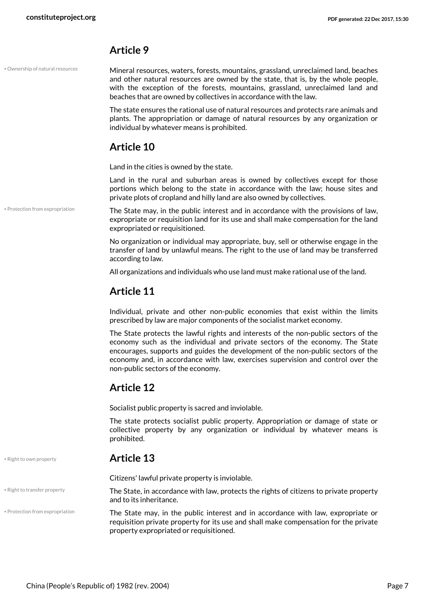• Ownership of natural resources

<span id="page-6-0"></span>Mineral resources, waters, forests, mountains, grassland, unreclaimed land, beaches and other natural resources are owned by the state, that is, by the whole people, with the exception of the forests, mountains, grassland, unreclaimed land and beaches that are owned by collectives in accordance with the law.

The state ensures the rational use of natural resources and protects rare animals and plants. The appropriation or damage of natural resources by any organization or individual by whatever means is prohibited.

#### **Article 10**

Land in the cities is owned by the state.

Land in the rural and suburban areas is owned by collectives except for those portions which belong to the state in accordance with the law; house sites and private plots of cropland and hilly land are also owned by collectives.

• Protection from expropriation

• Right to transfer property

The State may, in the public interest and in accordance with the provisions of law, expropriate or requisition land for its use and shall make compensation for the land expropriated or requisitioned.

No organization or individual may appropriate, buy, sell or otherwise engage in the transfer of land by unlawful means. The right to the use of land may be transferred according to law.

All organizations and individuals who use land must make rational use of the land.

#### **Article 11**

Individual, private and other non-public economies that exist within the limits prescribed by law are major components of the socialist market economy.

The State protects the lawful rights and interests of the non-public sectors of the economy such as the individual and private sectors of the economy. The State encourages, supports and guides the development of the non-public sectors of the economy and, in accordance with law, exercises supervision and control over the non-public sectors of the economy.

#### **Article 12**

Socialist public property is sacred and inviolable.

The state protects socialist public property. Appropriation or damage of state or collective property by any organization or individual by whatever means is prohibited.

#### <span id="page-6-2"></span>• Right to own property **Article 13**

Citizens' lawful private property is inviolable.

<span id="page-6-3"></span><span id="page-6-1"></span>The State, in accordance with law, protects the rights of citizens to private property and to its inheritance.

The State may, in the public interest and in accordance with law, expropriate or requisition private property for its use and shall make compensation for the private property expropriated or requisitioned. • Protection from expropriation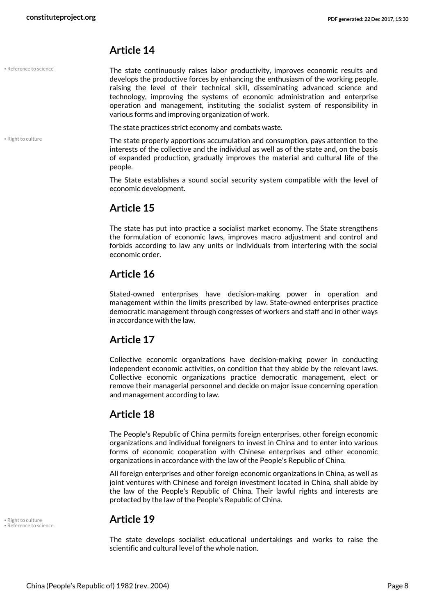• Reference to science

• Right to culture

The state continuously raises labor productivity, improves economic results and develops the productive forces by enhancing the enthusiasm of the working people, raising the level of their technical skill, disseminating advanced science and technology, improving the systems of economic administration and enterprise operation and management, instituting the socialist system of responsibility in various forms and improving organization of work.

The state practices strict economy and combats waste.

The state properly apportions accumulation and consumption, pays attention to the interests of the collective and the individual as well as of the state and, on the basis of expanded production, gradually improves the material and cultural life of the people.

The State establishes a sound social security system compatible with the level of economic development.

### **Article 15**

The state has put into practice a socialist market economy. The State strengthens the formulation of economic laws, improves macro adjustment and control and forbids according to law any units or individuals from interfering with the social economic order.

### **Article 16**

Stated-owned enterprises have decision-making power in operation and management within the limits prescribed by law. State-owned enterprises practice democratic management through congresses of workers and staff and in other ways in accordance with the law.

### **Article 17**

Collective economic organizations have decision-making power in conducting independent economic activities, on condition that they abide by the relevant laws. Collective economic organizations practice democratic management, elect or remove their managerial personnel and decide on major issue concerning operation and management according to law.

### **Article 18**

The People's Republic of China permits foreign enterprises, other foreign economic organizations and individual foreigners to invest in China and to enter into various forms of economic cooperation with Chinese enterprises and other economic organizations in accordance with the law of the People's Republic of China.

All foreign enterprises and other foreign economic organizations in China, as well as joint ventures with Chinese and foreign investment located in China, shall abide by the law of the People's Republic of China. Their lawful rights and interests are protected by the law of the People's Republic of China.

<span id="page-7-1"></span><span id="page-7-0"></span>

### • Right to culture **Article 19** • Reference to science

The state develops socialist educational undertakings and works to raise the scientific and cultural level of the whole nation.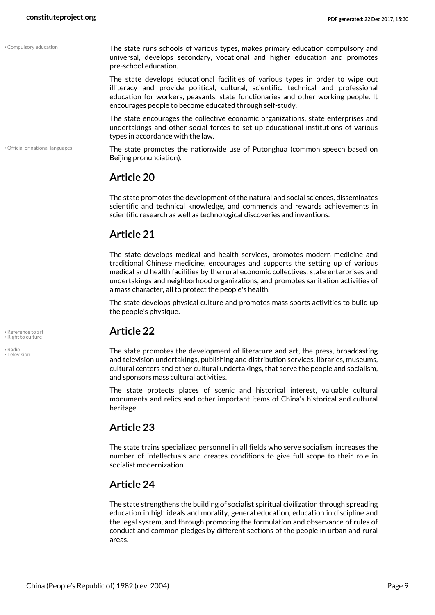• Compulsory education

• Official or national languages

<span id="page-8-0"></span>The state runs schools of various types, makes primary education compulsory and universal, develops secondary, vocational and higher education and promotes pre-school education.

The state develops educational facilities of various types in order to wipe out illiteracy and provide political, cultural, scientific, technical and professional education for workers, peasants, state functionaries and other working people. It encourages people to become educated through self-study.

The state encourages the collective economic organizations, state enterprises and undertakings and other social forces to set up educational institutions of various types in accordance with the law.

<span id="page-8-1"></span>The state promotes the nationwide use of Putonghua (common speech based on Beijing pronunciation).

#### **Article 20**

The state promotes the development of the natural and social sciences, disseminates scientific and technical knowledge, and commends and rewards achievements in scientific research as well as technological discoveries and inventions.

### **Article 21**

The state develops medical and health services, promotes modern medicine and traditional Chinese medicine, encourages and supports the setting up of various medical and health facilities by the rural economic collectives, state enterprises and undertakings and neighborhood organizations, and promotes sanitation activities of a mass character, all to protect the people's health.

The state develops physical culture and promotes mass sports activities to build up the people's physique.

### • Reference to art **Article 22** • Right to culture

The state promotes the development of literature and art, the press, broadcasting and television undertakings, publishing and distribution services, libraries, museums, cultural centers and other cultural undertakings, that serve the people and socialism, and sponsors mass cultural activities.

The state protects places of scenic and historical interest, valuable cultural monuments and relics and other important items of China's historical and cultural heritage.

#### **Article 23**

The state trains specialized personnel in all fields who serve socialism, increases the number of intellectuals and creates conditions to give full scope to their role in socialist modernization.

#### **Article 24**

The state strengthens the building of socialist spiritual civilization through spreading education in high ideals and morality, general education, education in discipline and the legal system, and through promoting the formulation and observance of rules of conduct and common pledges by different sections of the people in urban and rural areas.

<span id="page-8-4"></span><span id="page-8-3"></span>

<span id="page-8-5"></span><span id="page-8-2"></span>• Radio • Television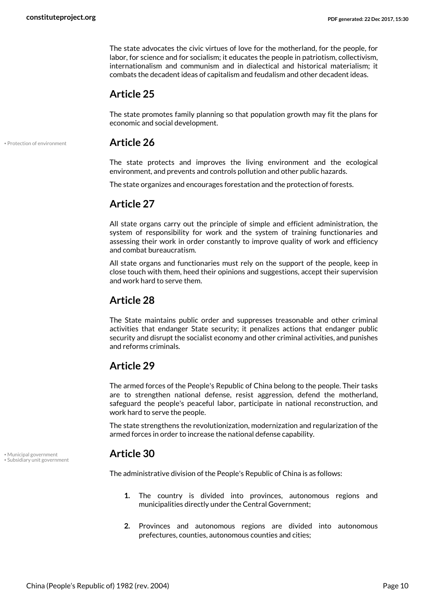The state advocates the civic virtues of love for the motherland, for the people, for labor, for science and for socialism; it educates the people in patriotism, collectivism, internationalism and communism and in dialectical and historical materialism; it combats the decadent ideas of capitalism and feudalism and other decadent ideas.

#### **Article 25**

The state promotes family planning so that population growth may fit the plans for economic and social development.

#### • Protection of environment **Article 26**

<span id="page-9-1"></span>The state protects and improves the living environment and the ecological environment, and prevents and controls pollution and other public hazards.

The state organizes and encourages forestation and the protection of forests.

#### **Article 27**

All state organs carry out the principle of simple and efficient administration, the system of responsibility for work and the system of training functionaries and assessing their work in order constantly to improve quality of work and efficiency and combat bureaucratism.

All state organs and functionaries must rely on the support of the people, keep in close touch with them, heed their opinions and suggestions, accept their supervision and work hard to serve them.

#### **Article 28**

The State maintains public order and suppresses treasonable and other criminal activities that endanger State security; it penalizes actions that endanger public security and disrupt the socialist economy and other criminal activities, and punishes and reforms criminals.

#### **Article 29**

The armed forces of the People's Republic of China belong to the people. Their tasks are to strengthen national defense, resist aggression, defend the motherland, safeguard the people's peaceful labor, participate in national reconstruction, and work hard to serve the people.

The state strengthens the revolutionization, modernization and regularization of the armed forces in order to increase the national defense capability.

<span id="page-9-2"></span>The administrative division of the People's Republic of China is as follows:

- **1.** The country is divided into provinces, autonomous regions and municipalities directly under the Central Government;
- **2.** Provinces and autonomous regions are divided into autonomous prefectures, counties, autonomous counties and cities;

<span id="page-9-0"></span>• Municipal government **Article 30** • Subsidiary unit government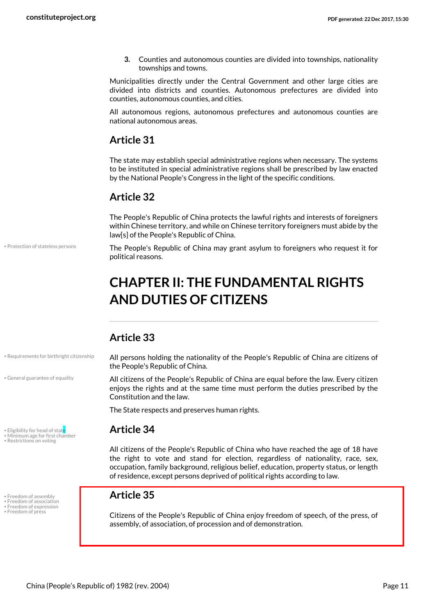**3.** Counties and autonomous counties are divided into townships, nationality townships and towns.

Municipalities directly under the Central Government and other large cities are divided into districts and counties. Autonomous prefectures are divided into counties, autonomous counties, and cities.

All autonomous regions, autonomous prefectures and autonomous counties are national autonomous areas.

#### **Article 31**

The state may establish special administrative regions when necessary. The systems to be instituted in special administrative regions shall be prescribed by law enacted by the National People's Congress in the light of the specific conditions.

#### **Article 32**

The People's Republic of China protects the lawful rights and interests of foreigners within Chinese territory, and while on Chinese territory foreigners must abide by the law[s] of the People's Republic of China.

<span id="page-10-8"></span>The People's Republic of China may grant asylum to foreigners who request it for political reasons.

## <span id="page-10-0"></span>**CHAPTER II: THE FUNDAMENTAL RIGHTS AND DUTIES OF CITIZENS**

### **Article 33**

• Requirements for birthright citizenship

• General guarantee of equality

• Protection of stateless persons

<span id="page-10-10"></span>• Eligibility for head of state **Article 34** • Minimum age for first chamber • Restrictions on voting

<span id="page-10-3"></span><span id="page-10-2"></span>

- <span id="page-10-5"></span><span id="page-10-4"></span>
- 

<span id="page-10-9"></span>All persons holding the nationality of the People's Republic of China are citizens of the People's Republic of China.

<span id="page-10-6"></span>All citizens of the People's Republic of China are equal before the law. Every citizen enjoys the rights and at the same time must perform the duties prescribed by the Constitution and the law.

<span id="page-10-1"></span>The State respects and preserves human rights.

<span id="page-10-7"></span>All citizens of the People's Republic of China who have reached the age of 18 have the right to vote and stand for election, regardless of nationality, race, sex, occupation, family background, religious belief, education, property status, or length of residence, except persons deprived of political rights according to law.

## **•** Freedom of assembly **Article 35**<br>• Freedom of association<br>• Freedom of expression

• Freedom of press **Citizens of the People's Republic of China enjoy freedom of speech, of the press, of** assembly, of association, of procession and of demonstration.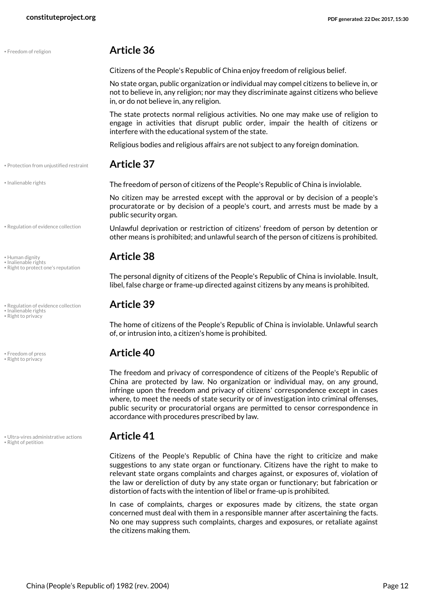<span id="page-11-4"></span><span id="page-11-2"></span><span id="page-11-1"></span>

| • Freedom of religion                                                             | <b>Article 36</b>                                                                                                                                                                                                                                                                                                                                                                                                                                                                       |
|-----------------------------------------------------------------------------------|-----------------------------------------------------------------------------------------------------------------------------------------------------------------------------------------------------------------------------------------------------------------------------------------------------------------------------------------------------------------------------------------------------------------------------------------------------------------------------------------|
|                                                                                   | Citizens of the People's Republic of China enjoy freedom of religious belief.                                                                                                                                                                                                                                                                                                                                                                                                           |
|                                                                                   | No state organ, public organization or individual may compel citizens to believe in, or<br>not to believe in, any religion; nor may they discriminate against citizens who believe<br>in, or do not believe in, any religion.                                                                                                                                                                                                                                                           |
|                                                                                   | The state protects normal religious activities. No one may make use of religion to<br>engage in activities that disrupt public order, impair the health of citizens or<br>interfere with the educational system of the state.                                                                                                                                                                                                                                                           |
|                                                                                   | Religious bodies and religious affairs are not subject to any foreign domination.                                                                                                                                                                                                                                                                                                                                                                                                       |
| • Protection from unjustified restraint                                           | <b>Article 37</b>                                                                                                                                                                                                                                                                                                                                                                                                                                                                       |
| · Inalienable rights                                                              | The freedom of person of citizens of the People's Republic of China is inviolable.                                                                                                                                                                                                                                                                                                                                                                                                      |
|                                                                                   | No citizen may be arrested except with the approval or by decision of a people's<br>procuratorate or by decision of a people's court, and arrests must be made by a<br>public security organ.                                                                                                                                                                                                                                                                                           |
| • Regulation of evidence collection                                               | Unlawful deprivation or restriction of citizens' freedom of person by detention or<br>other means is prohibited; and unlawful search of the person of citizens is prohibited.                                                                                                                                                                                                                                                                                                           |
| • Human dignity<br>• Inalienable rights<br>• Right to protect one's reputation    | <b>Article 38</b>                                                                                                                                                                                                                                                                                                                                                                                                                                                                       |
|                                                                                   | The personal dignity of citizens of the People's Republic of China is inviolable. Insult,<br>libel, false charge or frame-up directed against citizens by any means is prohibited.                                                                                                                                                                                                                                                                                                      |
| • Regulation of evidence collection<br>• Inalienable rights<br>• Right to privacy | <b>Article 39</b>                                                                                                                                                                                                                                                                                                                                                                                                                                                                       |
|                                                                                   | The home of citizens of the People's Republic of China is inviolable. Unlawful search<br>of, or intrusion into, a citizen's home is prohibited.                                                                                                                                                                                                                                                                                                                                         |
| • Freedom of press<br>• Right to privacy                                          | <b>Article 40</b>                                                                                                                                                                                                                                                                                                                                                                                                                                                                       |
|                                                                                   | The freedom and privacy of correspondence of citizens of the People's Republic of<br>China are protected by law. No organization or individual may, on any ground,<br>infringe upon the freedom and privacy of citizens' correspondence except in cases<br>where, to meet the needs of state security or of investigation into criminal offenses,<br>public security or procuratorial organs are permitted to censor correspondence in<br>accordance with procedures prescribed by law. |
| · Ultra-vires administrative actions<br>• Right of petition                       | <b>Article 41</b>                                                                                                                                                                                                                                                                                                                                                                                                                                                                       |
|                                                                                   | Citizens of the People's Republic of China have the right to criticize and make<br>suggestions to any state organ or functionary. Citizens have the right to make to<br>relevant state organs complaints and charges against, or exposures of, violation of                                                                                                                                                                                                                             |

In case of complaints, charges or exposures made by citizens, the state organ concerned must deal with them in a responsible manner after ascertaining the facts. No one may suppress such complaints, charges and exposures, or retaliate against the citizens making them.

<span id="page-11-9"></span><span id="page-11-8"></span><span id="page-11-7"></span><span id="page-11-6"></span><span id="page-11-5"></span><span id="page-11-3"></span><span id="page-11-0"></span>the law or dereliction of duty by any state organ or functionary; but fabrication or

distortion of facts with the intention of libel or frame-up is prohibited.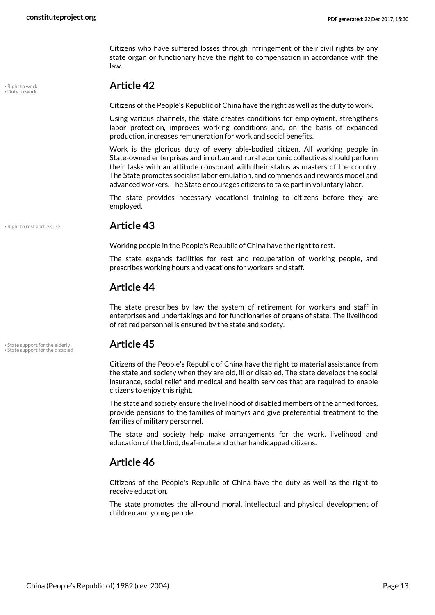Citizens who have suffered losses through infringement of their civil rights by any state organ or functionary have the right to compensation in accordance with the law.

### <span id="page-12-2"></span><span id="page-12-0"></span>• Right to work **Article 42** • Duty to work

Citizens of the People's Republic of China have the right as well as the duty to work.

Using various channels, the state creates conditions for employment, strengthens labor protection, improves working conditions and, on the basis of expanded production, increases remuneration for work and social benefits.

Work is the glorious duty of every able-bodied citizen. All working people in State-owned enterprises and in urban and rural economic collectives should perform their tasks with an attitude consonant with their status as masters of the country. The State promotes socialist labor emulation, and commends and rewards model and advanced workers. The State encourages citizens to take part in voluntary labor.

The state provides necessary vocational training to citizens before they are employed.

#### • Right to rest and leisure **Article 43**

<span id="page-12-1"></span>

Working people in the People's Republic of China have the right to rest.

The state expands facilities for rest and recuperation of working people, and prescribes working hours and vacations for workers and staff.

#### **Article 44**

The state prescribes by law the system of retirement for workers and staff in enterprises and undertakings and for functionaries of organs of state. The livelihood of retired personnel is ensured by the state and society.

### • State support for the elderly **Article 45** • State support for the disabled

<span id="page-12-4"></span><span id="page-12-3"></span>Citizens of the People's Republic of China have the right to material assistance from the state and society when they are old, ill or disabled. The state develops the social insurance, social relief and medical and health services that are required to enable citizens to enjoy this right.

The state and society ensure the livelihood of disabled members of the armed forces, provide pensions to the families of martyrs and give preferential treatment to the families of military personnel.

The state and society help make arrangements for the work, livelihood and education of the blind, deaf-mute and other handicapped citizens.

#### **Article 46**

Citizens of the People's Republic of China have the duty as well as the right to receive education.

The state promotes the all-round moral, intellectual and physical development of children and young people.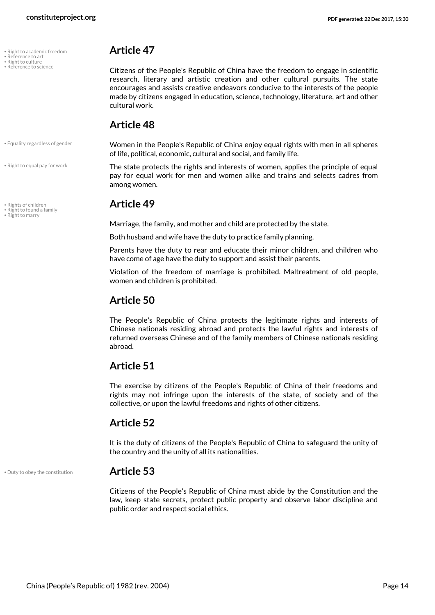• Right to academic freedom **Article 47** 

• Equality regardless of gender

• Right to equal pay for work

<span id="page-13-8"></span>• Right to found a family<br>• Right to marry

- 
- 

<span id="page-13-5"></span><span id="page-13-3"></span><span id="page-13-2"></span>

- Reference to art<br>• Right to culture<br>• Reference to science
- <span id="page-13-4"></span>

Citizens of the People's Republic of China have the freedom to engage in scientific research, literary and artistic creation and other cultural pursuits. The state encourages and assists creative endeavors conducive to the interests of the people made by citizens engaged in education, science, technology, literature, art and other cultural work.

#### **Article 48**

<span id="page-13-1"></span>Women in the People's Republic of China enjoy equal rights with men in all spheres of life, political, economic, cultural and social, and family life.

<span id="page-13-6"></span>The state protects the rights and interests of women, applies the principle of equal pay for equal work for men and women alike and trains and selects cadres from among women.

#### <span id="page-13-9"></span>• Rights of children **Article 49**

<span id="page-13-7"></span>Marriage, the family, and mother and child are protected by the state.

Both husband and wife have the duty to practice family planning.

Parents have the duty to rear and educate their minor children, and children who have come of age have the duty to support and assist their parents.

Violation of the freedom of marriage is prohibited. Maltreatment of old people, women and children is prohibited.

#### **Article 50**

The People's Republic of China protects the legitimate rights and interests of Chinese nationals residing abroad and protects the lawful rights and interests of returned overseas Chinese and of the family members of Chinese nationals residing abroad.

### **Article 51**

The exercise by citizens of the People's Republic of China of their freedoms and rights may not infringe upon the interests of the state, of society and of the collective, or upon the lawful freedoms and rights of other citizens.

### **Article 52**

It is the duty of citizens of the People's Republic of China to safeguard the unity of the country and the unity of all its nationalities.

#### • Duty to obey the constitution **Article 53**

<span id="page-13-0"></span>Citizens of the People's Republic of China must abide by the Constitution and the law, keep state secrets, protect public property and observe labor discipline and public order and respect social ethics.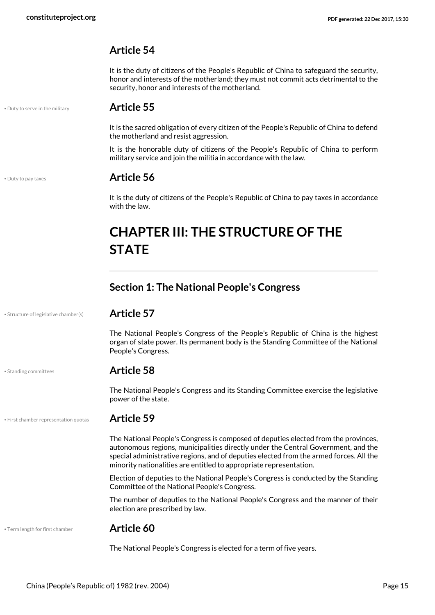It is the duty of citizens of the People's Republic of China to safeguard the security, honor and interests of the motherland; they must not commit acts detrimental to the security, honor and interests of the motherland.

• Duty to serve in the military **Article 55**

<span id="page-14-3"></span>It is the sacred obligation of every citizen of the People's Republic of China to defend the motherland and resist aggression.

It is the honorable duty of citizens of the People's Republic of China to perform military service and join the militia in accordance with the law.

<span id="page-14-2"></span>

#### • Duty to pay taxes **Article 56**

It is the duty of citizens of the People's Republic of China to pay taxes in accordance with the law.

## <span id="page-14-0"></span>**CHAPTER III: THE STRUCTURE OF THE STATE**

<span id="page-14-1"></span>

• Structure of legislative chamber(s) **Article 57**

<span id="page-14-6"></span>

The National People's Congress of the People's Republic of China is the highest organ of state power. Its permanent body is the Standing Committee of the National People's Congress.

#### <span id="page-14-5"></span>• Standing committees **Article 58**

The National People's Congress and its Standing Committee exercise the legislative power of the state.

#### • First chamber representation quotas **Article 59**

<span id="page-14-4"></span>The National People's Congress is composed of deputies elected from the provinces, autonomous regions, municipalities directly under the Central Government, and the special administrative regions, and of deputies elected from the armed forces. All the minority nationalities are entitled to appropriate representation.

Election of deputies to the National People's Congress is conducted by the Standing Committee of the National People's Congress.

The number of deputies to the National People's Congress and the manner of their election are prescribed by law.

• Term length for first chamber **Article 60**

<span id="page-14-7"></span>The National People's Congress is elected for a term of five years.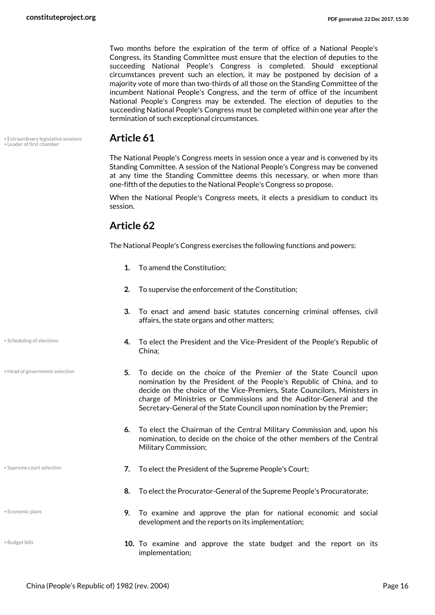Two months before the expiration of the term of office of a National People's Congress, its Standing Committee must ensure that the election of deputies to the succeeding National People's Congress is completed. Should exceptional circumstances prevent such an election, it may be postponed by decision of a majority vote of more than two-thirds of all those on the Standing Committee of the incumbent National People's Congress, and the term of office of the incumbent National People's Congress may be extended. The election of deputies to the succeeding National People's Congress must be completed within one year after the termination of such exceptional circumstances.

### • Extraordinary legislative sessions **Article 61** • Leader of first chamber

<span id="page-15-5"></span>• Scheduling of elections

<span id="page-15-1"></span>• Economic plans

<span id="page-15-0"></span>• Budget bills

• Head of government selection

<span id="page-15-4"></span><span id="page-15-2"></span>The National People's Congress meets in session once a year and is convened by its Standing Committee. A session of the National People's Congress may be convened at any time the Standing Committee deems this necessary, or when more than one-fifth of the deputies to the National People's Congress so propose.

When the National People's Congress meets, it elects a presidium to conduct its session.

#### **Article 62**

The National People's Congress exercises the following functions and powers:

- **1.** To amend the Constitution;
- **2.** To supervise the enforcement of the Constitution;
- **3.** To enact and amend basic statutes concerning criminal offenses, civil affairs, the state organs and other matters;
- **4.** To elect the President and the Vice-President of the People's Republic of China;
- <span id="page-15-3"></span>**5.** To decide on the choice of the Premier of the State Council upon nomination by the President of the People's Republic of China, and to decide on the choice of the Vice-Premiers, State Councilors, Ministers in charge of Ministries or Commissions and the Auditor-General and the Secretary-General of the State Council upon nomination by the Premier;
- **6.** To elect the Chairman of the Central Military Commission and, upon his nomination, to decide on the choice of the other members of the Central Military Commission;
- <span id="page-15-6"></span>**\*Supreme court selection <b>7.** To elect the President of the Supreme People's Court;
	- **8.** To elect the Procurator-General of the Supreme People's Procuratorate;
	- **9.** To examine and approve the plan for national economic and social development and the reports on its implementation;
		- **10.** To examine and approve the state budget and the report on its implementation;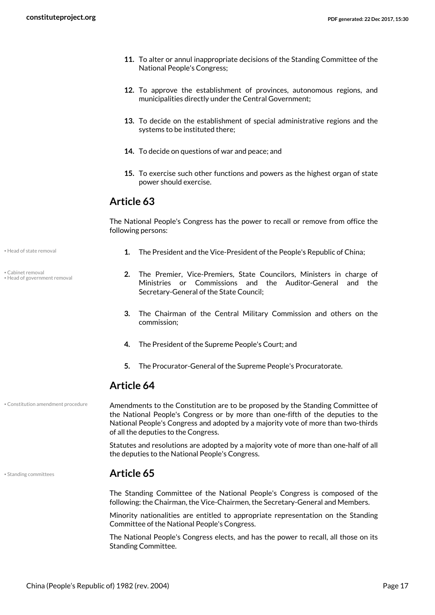- **11.** To alter or annul inappropriate decisions of the Standing Committee of the National People's Congress;
- **12.** To approve the establishment of provinces, autonomous regions, and municipalities directly under the Central Government;
- **13.** To decide on the establishment of special administrative regions and the systems to be instituted there;
- **14.** To decide on questions of war and peace; and
- **15.** To exercise such other functions and powers as the highest organ of state power should exercise.

<span id="page-16-2"></span>The National People's Congress has the power to recall or remove from office the following persons:

- <span id="page-16-3"></span>
- <span id="page-16-0"></span>• Cabinet removal • Head of government removal
- **Head of state removal <b>1.** The President and the Vice-President of the People's Republic of China;
	- **2.** The Premier, Vice-Premiers, State Councilors, Ministers in charge of Ministries or Commissions and the Auditor-General and the Secretary-General of the State Council;
	- **3.** The Chairman of the Central Military Commission and others on the commission;
	- **4.** The President of the Supreme People's Court; and
	- **5.** The Procurator-General of the Supreme People's Procuratorate.

#### **Article 64**

• Constitution amendment procedure

<span id="page-16-1"></span>Amendments to the Constitution are to be proposed by the Standing Committee of the National People's Congress or by more than one-fifth of the deputies to the National People's Congress and adopted by a majority vote of more than two-thirds of all the deputies to the Congress.

Statutes and resolutions are adopted by a majority vote of more than one-half of all the deputies to the National People's Congress.

#### <span id="page-16-4"></span>• Standing committees **Article 65**

The Standing Committee of the National People's Congress is composed of the following: the Chairman, the Vice-Chairmen, the Secretary-General and Members.

Minority nationalities are entitled to appropriate representation on the Standing Committee of the National People's Congress.

The National People's Congress elects, and has the power to recall, all those on its Standing Committee.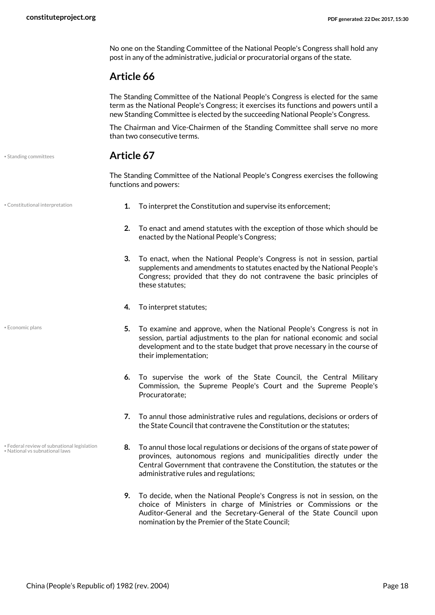No one on the Standing Committee of the National People's Congress shall hold any post in any of the administrative, judicial or procuratorial organs of the state.

#### **Article 66**

The Standing Committee of the National People's Congress is elected for the same term as the National People's Congress; it exercises its functions and powers until a new Standing Committee is elected by the succeeding National People's Congress.

The Chairman and Vice-Chairmen of the Standing Committee shall serve no more than two consecutive terms.

<span id="page-17-4"></span>• Standing committees **Article 67**

<span id="page-17-0"></span>The Standing Committee of the National People's Congress exercises the following functions and powers:

- 
- **Constitutional interpretation 1.** To interpret the Constitution and supervise its enforcement:
	- **2.** To enact and amend statutes with the exception of those which should be enacted by the National People's Congress;
	- **3.** To enact, when the National People's Congress is not in session, partial supplements and amendments to statutes enacted by the National People's Congress; provided that they do not contravene the basic principles of these statutes;
	- **4.** To interpret statutes;
	- **5.** To examine and approve, when the National People's Congress is not in session, partial adjustments to the plan for national economic and social development and to the state budget that prove necessary in the course of their implementation;
	- **6.** To supervise the work of the State Council, the Central Military Commission, the Supreme People's Court and the Supreme People's Procuratorate;
	- **7.** To annul those administrative rules and regulations, decisions or orders of the State Council that contravene the Constitution or the statutes;
	- **8.** To annul those local regulations or decisions of the organs of state power of provinces, autonomous regions and municipalities directly under the Central Government that contravene the Constitution, the statutes or the administrative rules and regulations;
	- **9.** To decide, when the National People's Congress is not in session, on the choice of Ministers in charge of Ministries or Commissions or the Auditor-General and the Secretary-General of the State Council upon nomination by the Premier of the State Council;

<span id="page-17-1"></span>• Economic plans

<span id="page-17-3"></span><span id="page-17-2"></span>• Federal review of subnational legislation • National vs subnational laws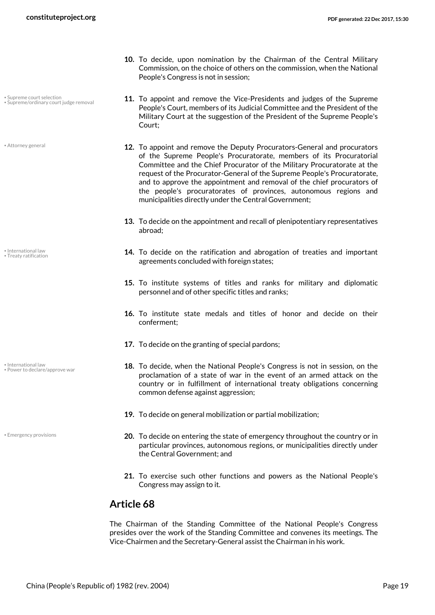<span id="page-18-0"></span>• Attorney general

<span id="page-18-6"></span>• International law • Treaty ratification

- <span id="page-18-2"></span>• International law • Power to declare/approve war
- <span id="page-18-1"></span>• Emergency provisions
- **10.** To decide, upon nomination by the Chairman of the Central Military Commission, on the choice of others on the commission, when the National People's Congress is not in session;
- <span id="page-18-5"></span><span id="page-18-4"></span>**11.** To appoint and remove the Vice-Presidents and judges of the Supreme People's Court, members of its Judicial Committee and the President of the Military Court at the suggestion of the President of the Supreme People's Court;
- **12.** To appoint and remove the Deputy Procurators-General and procurators of the Supreme People's Procuratorate, members of its Procuratorial Committee and the Chief Procurator of the Military Procuratorate at the request of the Procurator-General of the Supreme People's Procuratorate, and to approve the appointment and removal of the chief procurators of the people's procuratorates of provinces, autonomous regions and municipalities directly under the Central Government;
- **13.** To decide on the appointment and recall of plenipotentiary representatives abroad;
- **14.** To decide on the ratification and abrogation of treaties and important agreements concluded with foreign states;
- **15.** To institute systems of titles and ranks for military and diplomatic personnel and of other specific titles and ranks;
- **16.** To institute state medals and titles of honor and decide on their conferment;
- **17.** To decide on the granting of special pardons;
- <span id="page-18-3"></span>**18.** To decide, when the National People's Congress is not in session, on the proclamation of a state of war in the event of an armed attack on the country or in fulfillment of international treaty obligations concerning common defense against aggression;
- **19.** To decide on general mobilization or partial mobilization;
- **20.** To decide on entering the state of emergency throughout the country or in particular provinces, autonomous regions, or municipalities directly under the Central Government; and
- **21.** To exercise such other functions and powers as the National People's Congress may assign to it.

#### **Article 68**

The Chairman of the Standing Committee of the National People's Congress presides over the work of the Standing Committee and convenes its meetings. The Vice-Chairmen and the Secretary-General assist the Chairman in his work.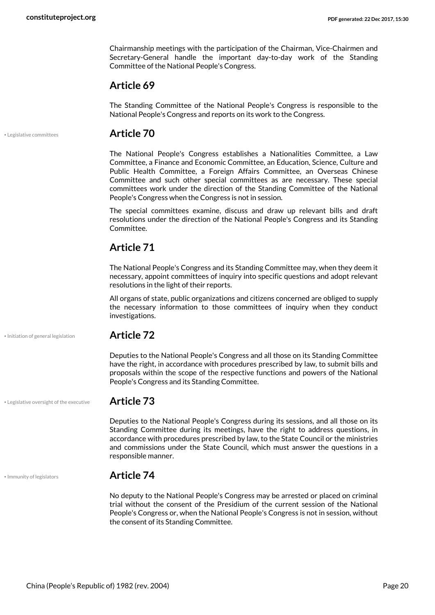Chairmanship meetings with the participation of the Chairman, Vice-Chairmen and Secretary-General handle the important day-to-day work of the Standing Committee of the National People's Congress.

#### **Article 69**

The Standing Committee of the National People's Congress is responsible to the National People's Congress and reports on its work to the Congress.

#### <span id="page-19-2"></span>• Legislative committees **Article 70**

The National People's Congress establishes a Nationalities Committee, a Law Committee, a Finance and Economic Committee, an Education, Science, Culture and Public Health Committee, a Foreign Affairs Committee, an Overseas Chinese Committee and such other special committees as are necessary. These special committees work under the direction of the Standing Committee of the National People's Congress when the Congress is not in session.

The special committees examine, discuss and draw up relevant bills and draft resolutions under the direction of the National People's Congress and its Standing Committee.

#### **Article 71**

The National People's Congress and its Standing Committee may, when they deem it necessary, appoint committees of inquiry into specific questions and adopt relevant resolutions in the light of their reports.

All organs of state, public organizations and citizens concerned are obliged to supply the necessary information to those committees of inquiry when they conduct investigations.

• Initiation of general legislation **Article 72**

<span id="page-19-1"></span>Deputies to the National People's Congress and all those on its Standing Committee have the right, in accordance with procedures prescribed by law, to submit bills and proposals within the scope of the respective functions and powers of the National People's Congress and its Standing Committee.

• Legislative oversight of the executive **Article 73**

<span id="page-19-3"></span>Deputies to the National People's Congress during its sessions, and all those on its Standing Committee during its meetings, have the right to address questions, in accordance with procedures prescribed by law, to the State Council or the ministries and commissions under the State Council, which must answer the questions in a responsible manner.

<span id="page-19-0"></span>

#### • Immunity of legislators **Article 74**

No deputy to the National People's Congress may be arrested or placed on criminal trial without the consent of the Presidium of the current session of the National People's Congress or, when the National People's Congress is not in session, without the consent of its Standing Committee.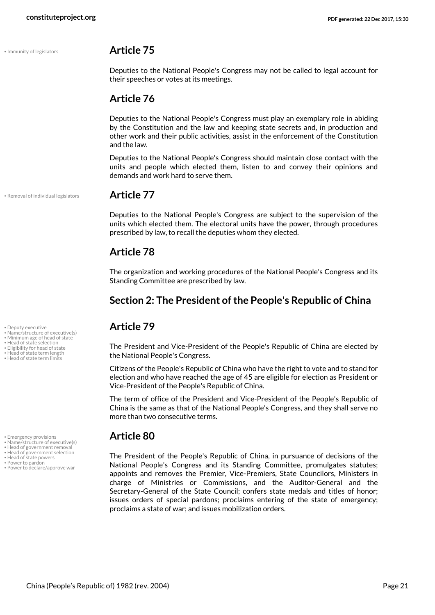#### • Immunity of legislators **Article 75**

<span id="page-20-10"></span>Deputies to the National People's Congress may not be called to legal account for their speeches or votes at its meetings.

#### **Article 76**

Deputies to the National People's Congress must play an exemplary role in abiding by the Constitution and the law and keeping state secrets and, in production and other work and their public activities, assist in the enforcement of the Constitution and the law.

Deputies to the National People's Congress should maintain close contact with the units and people which elected them, listen to and convey their opinions and demands and work hard to serve them.

• Removal of individual legislators **Article 77**

<span id="page-20-15"></span>Deputies to the National People's Congress are subject to the supervision of the units which elected them. The electoral units have the power, through procedures prescribed by law, to recall the deputies whom they elected.

#### **Article 78**

The organization and working procedures of the National People's Congress and its Standing Committee are prescribed by law.

#### <span id="page-20-0"></span>**Section 2: The President of the People's Republic of China**

## • Deputy executive **Article 79** • Name/structure of executive(s)

<span id="page-20-11"></span><span id="page-20-8"></span><span id="page-20-7"></span><span id="page-20-2"></span>The President and Vice-President of the People's Republic of China are elected by the National People's Congress.

<span id="page-20-9"></span>Citizens of the People's Republic of China who have the right to vote and to stand for election and who have reached the age of 45 are eligible for election as President or Vice-President of the People's Republic of China.

The term of office of the President and Vice-President of the People's Republic of China is the same as that of the National People's Congress, and they shall serve no more than two consecutive terms.

<span id="page-20-13"></span><span id="page-20-12"></span><span id="page-20-5"></span><span id="page-20-4"></span>The President of the People's Republic of China, in pursuance of decisions of the National People's Congress and its Standing Committee, promulgates statutes; appoints and removes the Premier, Vice-Premiers, State Councilors, Ministers in charge of Ministries or Commissions, and the Auditor-General and the Secretary-General of the State Council; confers state medals and titles of honor; issues orders of special pardons; proclaims entering of the state of emergency; proclaims a state of war; and issues mobilization orders.

<span id="page-20-1"></span>

- 
- Minimum age of head of state
- Head of state selection
- Eligibility for head of state Head of state term length
- Head of state term limits

<span id="page-20-3"></span>

- 
- Emergency provisions **Article 80** Name/structure of executive(s) Head of government removal
- <span id="page-20-6"></span>• Head of government selection • Head of state powers
- <span id="page-20-14"></span>• Power to pardon
- Power to declare/approve war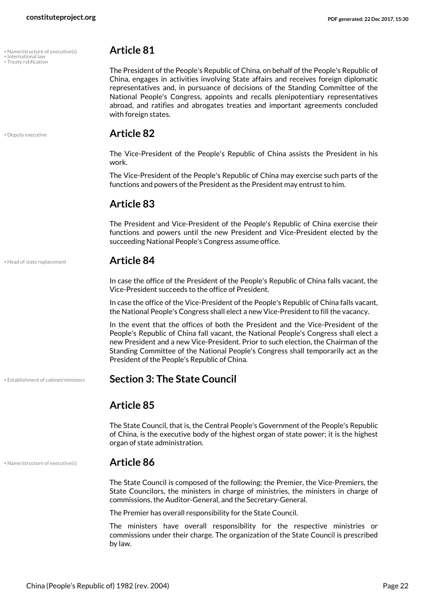<span id="page-21-4"></span>

| • Name/structure of executive(s)<br>$\bullet$ International law | <b>Article 81</b> |
|-----------------------------------------------------------------|-------------------|
|                                                                 |                   |

```
• Treaty ratification
```
<span id="page-21-1"></span>

#### • Deputy executive **Article 82**

with foreign states.

The Vice-President of the People's Republic of China assists the President in his work.

The President of the People's Republic of China, on behalf of the People's Republic of China, engages in activities involving State affairs and receives foreign diplomatic representatives and, in pursuance of decisions of the Standing Committee of the National People's Congress, appoints and recalls plenipotentiary representatives abroad, and ratifies and abrogates treaties and important agreements concluded

The Vice-President of the People's Republic of China may exercise such parts of the functions and powers of the President as the President may entrust to him.

#### **Article 83**

The President and Vice-President of the People's Republic of China exercise their functions and powers until the new President and Vice-President elected by the succeeding National People's Congress assume office.

#### • Head of state replacement **Article 84**

<span id="page-21-3"></span>In case the office of the President of the People's Republic of China falls vacant, the Vice-President succeeds to the office of President.

In case the office of the Vice-President of the People's Republic of China falls vacant, the National People's Congress shall elect a new Vice-President to fill the vacancy.

In the event that the offices of both the President and the Vice-President of the People's Republic of China fall vacant, the National People's Congress shall elect a new President and a new Vice-President. Prior to such election, the Chairman of the Standing Committee of the National People's Congress shall temporarily act as the President of the People's Republic of China.

#### • Establishment of cabinet/ministers **Section 3: The State Council**

#### <span id="page-21-2"></span><span id="page-21-0"></span>**Article 85**

The State Council, that is, the Central People's Government of the People's Republic of China, is the executive body of the highest organ of state power; it is the highest organ of state administration.

#### • Name/structure of executive(s) **Article 86**

<span id="page-21-5"></span>The State Council is composed of the following: the Premier, the Vice-Premiers, the State Councilors, the ministers in charge of ministries, the ministers in charge of commissions, the Auditor-General, and the Secretary-General.

The Premier has overall responsibility for the State Council.

The ministers have overall responsibility for the respective ministries or commissions under their charge. The organization of the State Council is prescribed by law.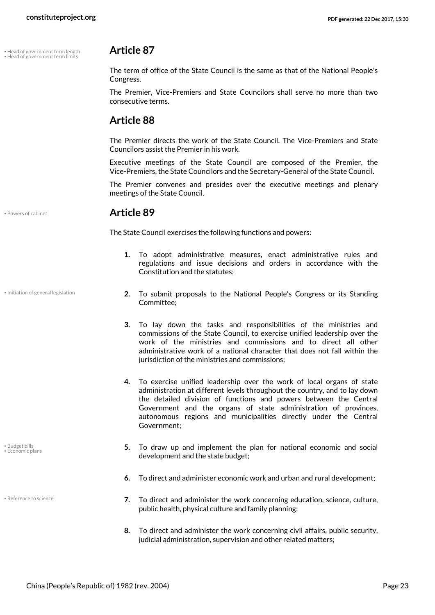• Head of government term length **Article 87** • Head of government term limits

<span id="page-22-3"></span><span id="page-22-2"></span>The term of office of the State Council is the same as that of the National People's Congress.

The Premier, Vice-Premiers and State Councilors shall serve no more than two consecutive terms.

#### **Article 88**

The Premier directs the work of the State Council. The Vice-Premiers and State Councilors assist the Premier in his work.

Executive meetings of the State Council are composed of the Premier, the Vice-Premiers, the State Councilors and the Secretary-General of the State Council.

The Premier convenes and presides over the executive meetings and plenary meetings of the State Council.

<span id="page-22-5"></span>

#### • Powers of cabinet **Article 89**

The State Council exercises the following functions and powers:

- **1.** To adopt administrative measures, enact administrative rules and regulations and issue decisions and orders in accordance with the Constitution and the statutes;
- 
- Initiation of general legislation

- <span id="page-22-1"></span><span id="page-22-0"></span>• Budget bills • Economic plans
- <span id="page-22-6"></span>• Reference to science
- <span id="page-22-4"></span>**2.** To submit proposals to the National People's Congress or its Standing Committee;
- **3.** To lay down the tasks and responsibilities of the ministries and commissions of the State Council, to exercise unified leadership over the work of the ministries and commissions and to direct all other administrative work of a national character that does not fall within the jurisdiction of the ministries and commissions;
- **4.** To exercise unified leadership over the work of local organs of state administration at different levels throughout the country, and to lay down the detailed division of functions and powers between the Central Government and the organs of state administration of provinces, autonomous regions and municipalities directly under the Central Government;
- **5.** To draw up and implement the plan for national economic and social development and the state budget;
- **6.** To direct and administer economic work and urban and rural development;
- **7.** To direct and administer the work concerning education, science, culture, public health, physical culture and family planning;
- **8.** To direct and administer the work concerning civil affairs, public security, judicial administration, supervision and other related matters;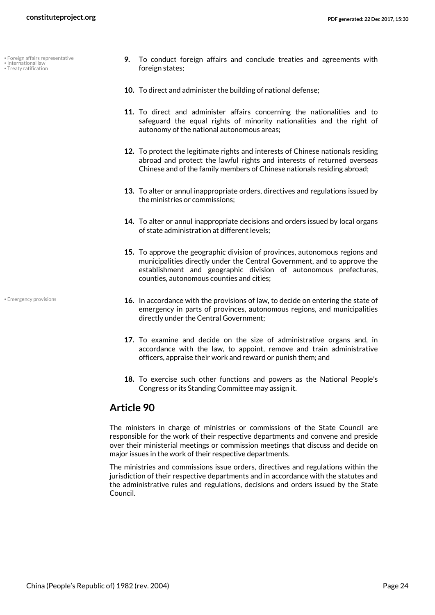- Foreign affairs representative
- <span id="page-23-3"></span><span id="page-23-2"></span>• International law • Treaty ratification
- <span id="page-23-1"></span>**9.** To conduct foreign affairs and conclude treaties and agreements with foreign states;
- **10.** To direct and administer the building of national defense;
- **11.** To direct and administer affairs concerning the nationalities and to safeguard the equal rights of minority nationalities and the right of autonomy of the national autonomous areas;
- **12.** To protect the legitimate rights and interests of Chinese nationals residing abroad and protect the lawful rights and interests of returned overseas Chinese and of the family members of Chinese nationals residing abroad;
- **13.** To alter or annul inappropriate orders, directives and regulations issued by the ministries or commissions;
- **14.** To alter or annul inappropriate decisions and orders issued by local organs of state administration at different levels;
- **15.** To approve the geographic division of provinces, autonomous regions and municipalities directly under the Central Government, and to approve the establishment and geographic division of autonomous prefectures, counties, autonomous counties and cities;
- **16.** In accordance with the provisions of law, to decide on entering the state of emergency in parts of provinces, autonomous regions, and municipalities directly under the Central Government;
- **17.** To examine and decide on the size of administrative organs and, in accordance with the law, to appoint, remove and train administrative officers, appraise their work and reward or punish them; and
- **18.** To exercise such other functions and powers as the National People's Congress or its Standing Committee may assign it.

The ministers in charge of ministries or commissions of the State Council are responsible for the work of their respective departments and convene and preside over their ministerial meetings or commission meetings that discuss and decide on major issues in the work of their respective departments.

The ministries and commissions issue orders, directives and regulations within the jurisdiction of their respective departments and in accordance with the statutes and the administrative rules and regulations, decisions and orders issued by the State Council.

<span id="page-23-0"></span>• Emergency provisions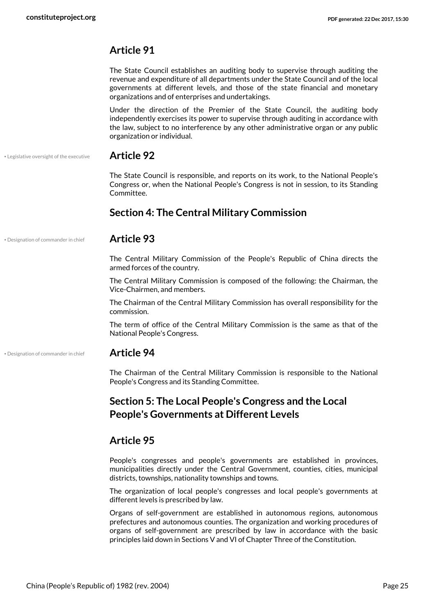The State Council establishes an auditing body to supervise through auditing the revenue and expenditure of all departments under the State Council and of the local governments at different levels, and those of the state financial and monetary organizations and of enterprises and undertakings.

Under the direction of the Premier of the State Council, the auditing body independently exercises its power to supervise through auditing in accordance with the law, subject to no interference by any other administrative organ or any public organization or individual.

#### • Legislative oversight of the executive **Article 92**

<span id="page-24-3"></span>The State Council is responsible, and reports on its work, to the National People's Congress or, when the National People's Congress is not in session, to its Standing Committee.

#### <span id="page-24-0"></span>**Section 4: The Central Military Commission**

#### • Designation of commander in chief **Article 93**

The Central Military Commission of the People's Republic of China directs the armed forces of the country.

The Central Military Commission is composed of the following: the Chairman, the Vice-Chairmen, and members.

The Chairman of the Central Military Commission has overall responsibility for the commission.

The term of office of the Central Military Commission is the same as that of the National People's Congress.

#### • Designation of commander in chief **Article 94**

<span id="page-24-2"></span>The Chairman of the Central Military Commission is responsible to the National People's Congress and its Standing Committee.

#### <span id="page-24-1"></span>**Section 5: The Local People's Congress and the Local People's Governments at Different Levels**

#### **Article 95**

People's congresses and people's governments are established in provinces, municipalities directly under the Central Government, counties, cities, municipal districts, townships, nationality townships and towns.

The organization of local people's congresses and local people's governments at different levels is prescribed by law.

Organs of self-government are established in autonomous regions, autonomous prefectures and autonomous counties. The organization and working procedures of organs of self-government are prescribed by law in accordance with the basic principles laid down in Sections V and VI of Chapter Three of the Constitution.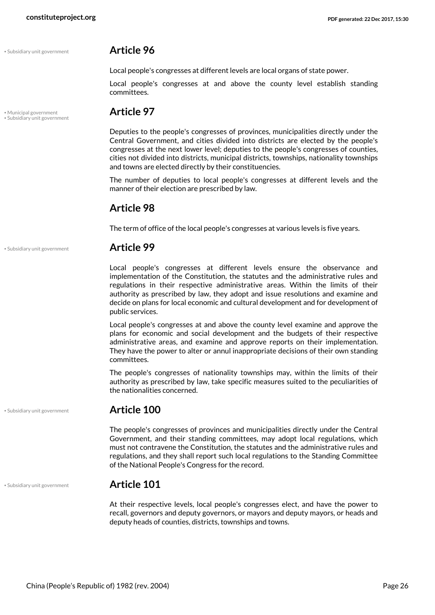• Subsidiary unit government **Article 96**

Local people's congresses at different levels are local organs of state power.

Local people's congresses at and above the county level establish standing committees.

<span id="page-25-0"></span>• Municipal government **Article 97** • Subsidiary unit government

Deputies to the people's congresses of provinces, municipalities directly under the Central Government, and cities divided into districts are elected by the people's congresses at the next lower level; deputies to the people's congresses of counties, cities not divided into districts, municipal districts, townships, nationality townships and towns are elected directly by their constituencies.

The number of deputies to local people's congresses at different levels and the manner of their election are prescribed by law.

#### **Article 98**

The term of office of the local people's congresses at various levels is five years.

#### • Subsidiary unit government **Article 99**

Local people's congresses at different levels ensure the observance and implementation of the Constitution, the statutes and the administrative rules and regulations in their respective administrative areas. Within the limits of their authority as prescribed by law, they adopt and issue resolutions and examine and decide on plans for local economic and cultural development and for development of public services.

Local people's congresses at and above the county level examine and approve the plans for economic and social development and the budgets of their respective administrative areas, and examine and approve reports on their implementation. They have the power to alter or annul inappropriate decisions of their own standing committees.

The people's congresses of nationality townships may, within the limits of their authority as prescribed by law, take specific measures suited to the peculiarities of the nationalities concerned.

#### • Subsidiary unit government **Article 100**

The people's congresses of provinces and municipalities directly under the Central Government, and their standing committees, may adopt local regulations, which must not contravene the Constitution, the statutes and the administrative rules and regulations, and they shall report such local regulations to the Standing Committee of the National People's Congress for the record.

#### • Subsidiary unit government **Article 101**

<span id="page-25-1"></span>At their respective levels, local people's congresses elect, and have the power to recall, governors and deputy governors, or mayors and deputy mayors, or heads and deputy heads of counties, districts, townships and towns.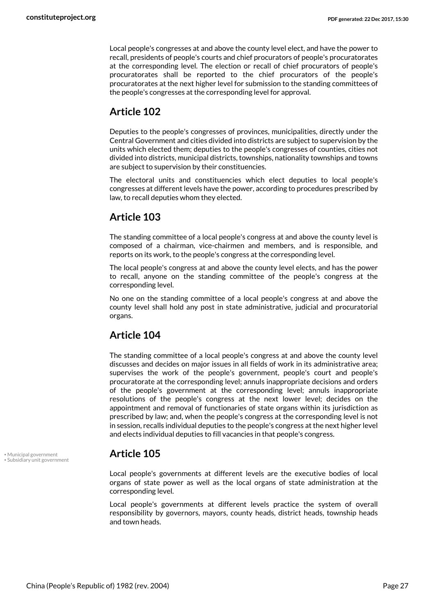Local people's congresses at and above the county level elect, and have the power to recall, presidents of people's courts and chief procurators of people's procuratorates at the corresponding level. The election or recall of chief procurators of people's procuratorates shall be reported to the chief procurators of the people's procuratorates at the next higher level for submission to the standing committees of the people's congresses at the corresponding level for approval.

#### **Article 102**

Deputies to the people's congresses of provinces, municipalities, directly under the Central Government and cities divided into districts are subject to supervision by the units which elected them; deputies to the people's congresses of counties, cities not divided into districts, municipal districts, townships, nationality townships and towns are subject to supervision by their constituencies.

The electoral units and constituencies which elect deputies to local people's congresses at different levels have the power, according to procedures prescribed by law, to recall deputies whom they elected.

#### **Article 103**

The standing committee of a local people's congress at and above the county level is composed of a chairman, vice-chairmen and members, and is responsible, and reports on its work, to the people's congress at the corresponding level.

The local people's congress at and above the county level elects, and has the power to recall, anyone on the standing committee of the people's congress at the corresponding level.

No one on the standing committee of a local people's congress at and above the county level shall hold any post in state administrative, judicial and procuratorial organs.

#### **Article 104**

The standing committee of a local people's congress at and above the county level discusses and decides on major issues in all fields of work in its administrative area; supervises the work of the people's government, people's court and people's procuratorate at the corresponding level; annuls inappropriate decisions and orders of the people's government at the corresponding level; annuls inappropriate resolutions of the people's congress at the next lower level; decides on the appointment and removal of functionaries of state organs within its jurisdiction as prescribed by law; and, when the people's congress at the corresponding level is not in session, recalls individual deputies to the people's congress at the next higher level and elects individual deputies to fill vacancies in that people's congress.

<span id="page-26-1"></span>Local people's governments at different levels are the executive bodies of local organs of state power as well as the local organs of state administration at the corresponding level.

Local people's governments at different levels practice the system of overall responsibility by governors, mayors, county heads, district heads, township heads and town heads.

<span id="page-26-0"></span>• Municipal government **Article 105** • Subsidiary unit government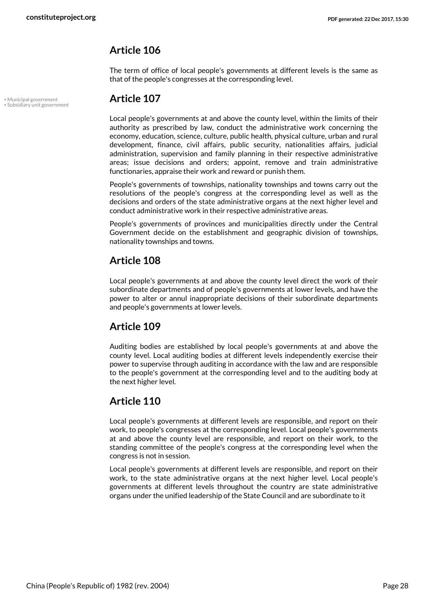The term of office of local people's governments at different levels is the same as that of the people's congresses at the corresponding level.

<span id="page-27-1"></span>Local people's governments at and above the county level, within the limits of their authority as prescribed by law, conduct the administrative work concerning the economy, education, science, culture, public health, physical culture, urban and rural development, finance, civil affairs, public security, nationalities affairs, judicial administration, supervision and family planning in their respective administrative areas; issue decisions and orders; appoint, remove and train administrative functionaries, appraise their work and reward or punish them.

People's governments of townships, nationality townships and towns carry out the resolutions of the people's congress at the corresponding level as well as the decisions and orders of the state administrative organs at the next higher level and conduct administrative work in their respective administrative areas.

People's governments of provinces and municipalities directly under the Central Government decide on the establishment and geographic division of townships, nationality townships and towns.

### **Article 108**

Local people's governments at and above the county level direct the work of their subordinate departments and of people's governments at lower levels, and have the power to alter or annul inappropriate decisions of their subordinate departments and people's governments at lower levels.

### **Article 109**

Auditing bodies are established by local people's governments at and above the county level. Local auditing bodies at different levels independently exercise their power to supervise through auditing in accordance with the law and are responsible to the people's government at the corresponding level and to the auditing body at the next higher level.

### **Article 110**

Local people's governments at different levels are responsible, and report on their work, to people's congresses at the corresponding level. Local people's governments at and above the county level are responsible, and report on their work, to the standing committee of the people's congress at the corresponding level when the congress is not in session.

Local people's governments at different levels are responsible, and report on their work, to the state administrative organs at the next higher level. Local people's governments at different levels throughout the country are state administrative organs under the unified leadership of the State Council and are subordinate to it

<span id="page-27-0"></span>• Municipal government **Article 107** • Subsidiary unit government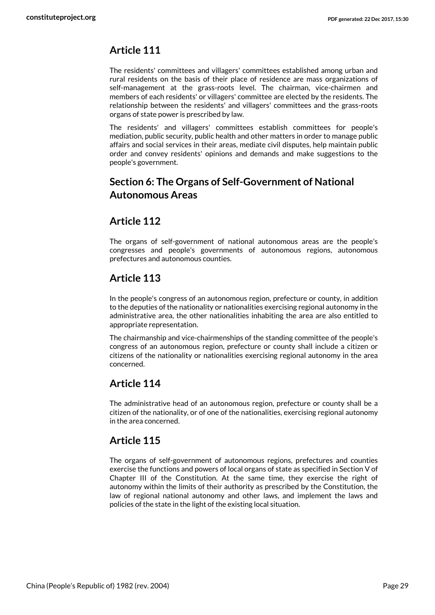The residents' committees and villagers' committees established among urban and rural residents on the basis of their place of residence are mass organizations of self-management at the grass-roots level. The chairman, vice-chairmen and members of each residents' or villagers' committee are elected by the residents. The relationship between the residents' and villagers' committees and the grass-roots organs of state power is prescribed by law.

The residents' and villagers' committees establish committees for people's mediation, public security, public health and other matters in order to manage public affairs and social services in their areas, mediate civil disputes, help maintain public order and convey residents' opinions and demands and make suggestions to the people's government.

### <span id="page-28-0"></span>**Section 6: The Organs of Self-Government of National Autonomous Areas**

#### **Article 112**

The organs of self-government of national autonomous areas are the people's congresses and people's governments of autonomous regions, autonomous prefectures and autonomous counties.

#### **Article 113**

In the people's congress of an autonomous region, prefecture or county, in addition to the deputies of the nationality or nationalities exercising regional autonomy in the administrative area, the other nationalities inhabiting the area are also entitled to appropriate representation.

The chairmanship and vice-chairmenships of the standing committee of the people's congress of an autonomous region, prefecture or county shall include a citizen or citizens of the nationality or nationalities exercising regional autonomy in the area concerned.

#### **Article 114**

The administrative head of an autonomous region, prefecture or county shall be a citizen of the nationality, or of one of the nationalities, exercising regional autonomy in the area concerned.

### **Article 115**

The organs of self-government of autonomous regions, prefectures and counties exercise the functions and powers of local organs of state as specified in Section V of Chapter III of the Constitution. At the same time, they exercise the right of autonomy within the limits of their authority as prescribed by the Constitution, the law of regional national autonomy and other laws, and implement the laws and policies of the state in the light of the existing local situation.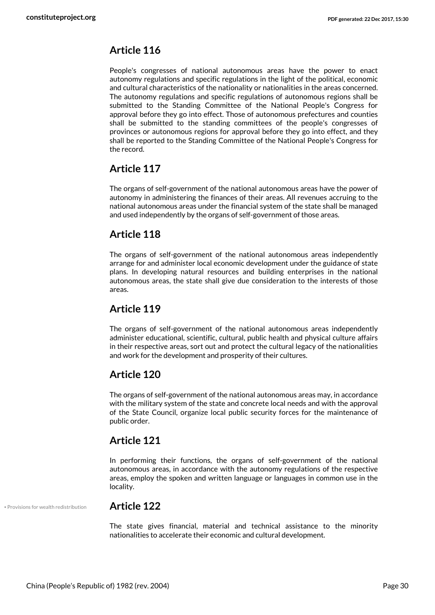People's congresses of national autonomous areas have the power to enact autonomy regulations and specific regulations in the light of the political, economic and cultural characteristics of the nationality or nationalities in the areas concerned. The autonomy regulations and specific regulations of autonomous regions shall be submitted to the Standing Committee of the National People's Congress for approval before they go into effect. Those of autonomous prefectures and counties shall be submitted to the standing committees of the people's congresses of provinces or autonomous regions for approval before they go into effect, and they shall be reported to the Standing Committee of the National People's Congress for the record.

#### **Article 117**

The organs of self-government of the national autonomous areas have the power of autonomy in administering the finances of their areas. All revenues accruing to the national autonomous areas under the financial system of the state shall be managed and used independently by the organs of self-government of those areas.

#### **Article 118**

The organs of self-government of the national autonomous areas independently arrange for and administer local economic development under the guidance of state plans. In developing natural resources and building enterprises in the national autonomous areas, the state shall give due consideration to the interests of those areas.

#### **Article 119**

The organs of self-government of the national autonomous areas independently administer educational, scientific, cultural, public health and physical culture affairs in their respective areas, sort out and protect the cultural legacy of the nationalities and work for the development and prosperity of their cultures.

#### **Article 120**

The organs of self-government of the national autonomous areas may, in accordance with the military system of the state and concrete local needs and with the approval of the State Council, organize local public security forces for the maintenance of public order.

#### **Article 121**

In performing their functions, the organs of self-government of the national autonomous areas, in accordance with the autonomy regulations of the respective areas, employ the spoken and written language or languages in common use in the locality.

#### • Provisions for wealth redistribution **Article 122**

<span id="page-29-0"></span>The state gives financial, material and technical assistance to the minority nationalities to accelerate their economic and cultural development.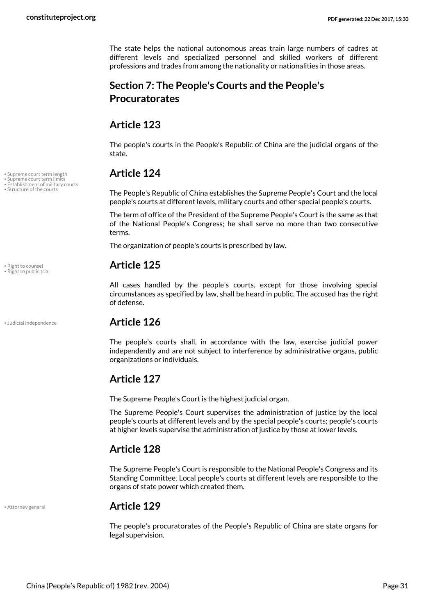The state helps the national autonomous areas train large numbers of cadres at different levels and specialized personnel and skilled workers of different professions and trades from among the nationality or nationalities in those areas.

### <span id="page-30-0"></span>**Section 7: The People's Courts and the People's Procuratorates**

#### **Article 123**

<span id="page-30-8"></span><span id="page-30-7"></span>The people's courts in the People's Republic of China are the judicial organs of the state.

## • Supreme court term length **Article 124** • Supreme court term limits • Establishment of military courts

<span id="page-30-6"></span>• Structure of the courts The People's Republic of China establishes the Supreme People's Court and the local people's courts at different levels, military courts and other special people's courts.

> <span id="page-30-2"></span>The term of office of the President of the Supreme People's Court is the same as that of the National People's Congress; he shall serve no more than two consecutive terms.

The organization of people's courts is prescribed by law.

## • Right to counsel **Article 125** • Right to public trial

All cases handled by the people's courts, except for those involving special circumstances as specified by law, shall be heard in public. The accused has the right of defense.

#### • Judicial independence **Article 126**

The people's courts shall, in accordance with the law, exercise judicial power independently and are not subject to interference by administrative organs, public organizations or individuals.

#### **Article 127**

The Supreme People's Court is the highest judicial organ.

The Supreme People's Court supervises the administration of justice by the local people's courts at different levels and by the special people's courts; people's courts at higher levels supervise the administration of justice by those at lower levels.

#### **Article 128**

The Supreme People's Court is responsible to the National People's Congress and its Standing Committee. Local people's courts at different levels are responsible to the organs of state power which created them.

#### <span id="page-30-1"></span>• Attorney general **Article 129**

The people's procuratorates of the People's Republic of China are state organs for legal supervision.

<span id="page-30-5"></span><span id="page-30-4"></span>

<span id="page-30-3"></span>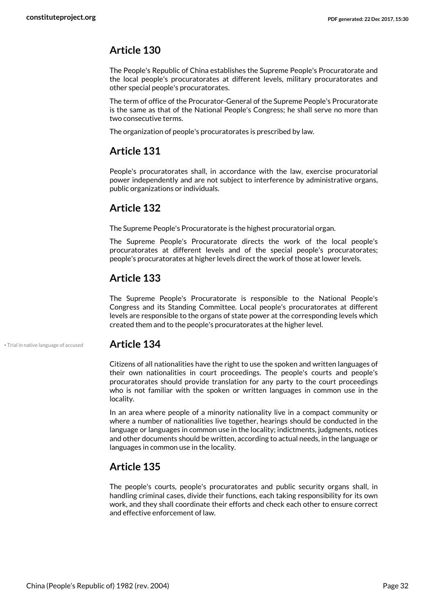The People's Republic of China establishes the Supreme People's Procuratorate and the local people's procuratorates at different levels, military procuratorates and other special people's procuratorates.

The term of office of the Procurator-General of the Supreme People's Procuratorate is the same as that of the National People's Congress; he shall serve no more than two consecutive terms.

The organization of people's procuratorates is prescribed by law.

#### **Article 131**

People's procuratorates shall, in accordance with the law, exercise procuratorial power independently and are not subject to interference by administrative organs, public organizations or individuals.

### **Article 132**

The Supreme People's Procuratorate is the highest procuratorial organ.

The Supreme People's Procuratorate directs the work of the local people's procuratorates at different levels and of the special people's procuratorates; people's procuratorates at higher levels direct the work of those at lower levels.

#### **Article 133**

The Supreme People's Procuratorate is responsible to the National People's Congress and its Standing Committee. Local people's procuratorates at different levels are responsible to the organs of state power at the corresponding levels which created them and to the people's procuratorates at the higher level.

#### • Trial in native language of accused **Article 134**

<span id="page-31-0"></span>Citizens of all nationalities have the right to use the spoken and written languages of their own nationalities in court proceedings. The people's courts and people's procuratorates should provide translation for any party to the court proceedings who is not familiar with the spoken or written languages in common use in the locality.

In an area where people of a minority nationality live in a compact community or where a number of nationalities live together, hearings should be conducted in the language or languages in common use in the locality; indictments, judgments, notices and other documents should be written, according to actual needs, in the language or languages in common use in the locality.

### **Article 135**

The people's courts, people's procuratorates and public security organs shall, in handling criminal cases, divide their functions, each taking responsibility for its own work, and they shall coordinate their efforts and check each other to ensure correct and effective enforcement of law.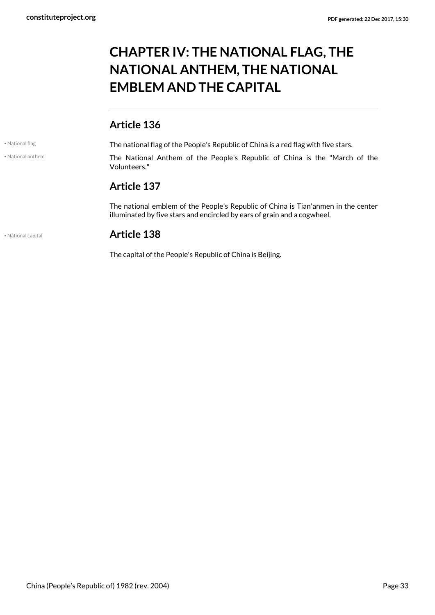## <span id="page-32-0"></span>**CHAPTER IV: THE NATIONAL FLAG, THE NATIONAL ANTHEM, THE NATIONAL EMBLEM AND THE CAPITAL**

#### **Article 136**

<span id="page-32-3"></span>

<span id="page-32-1"></span>• National anthem

• National flag **the Stars** The national flag of the People's Republic of China is a red flag with five stars. The National Anthem of the People's Republic of China is the "March of the Volunteers."

### **Article 137**

The national emblem of the People's Republic of China is Tian'anmen in the center illuminated by five stars and encircled by ears of grain and a cogwheel.

<span id="page-32-2"></span>

#### • National capital **Article 138**

The capital of the People's Republic of China is Beijing.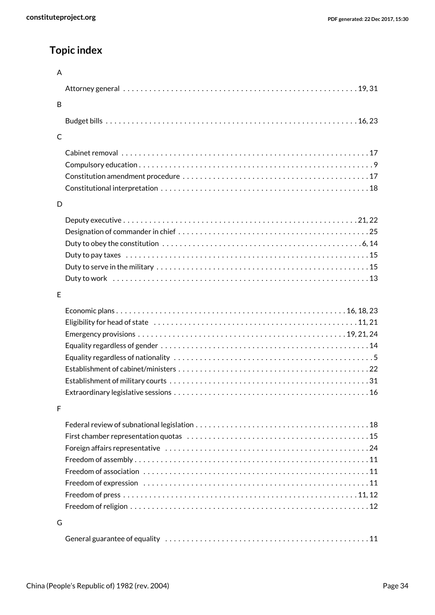### **Topic index**

| A |                                                                                                                  |
|---|------------------------------------------------------------------------------------------------------------------|
|   |                                                                                                                  |
| B |                                                                                                                  |
|   |                                                                                                                  |
|   |                                                                                                                  |
| C |                                                                                                                  |
|   |                                                                                                                  |
|   |                                                                                                                  |
|   |                                                                                                                  |
|   |                                                                                                                  |
| D |                                                                                                                  |
|   |                                                                                                                  |
|   |                                                                                                                  |
|   |                                                                                                                  |
|   | Duty to pay taxes experience in the control of the control of the control of the control of the control of the c |
|   |                                                                                                                  |
|   |                                                                                                                  |
| E |                                                                                                                  |
|   |                                                                                                                  |
|   |                                                                                                                  |
|   |                                                                                                                  |
|   |                                                                                                                  |
|   |                                                                                                                  |
|   |                                                                                                                  |
|   |                                                                                                                  |
|   |                                                                                                                  |
| F |                                                                                                                  |
|   |                                                                                                                  |
|   |                                                                                                                  |
|   |                                                                                                                  |
|   |                                                                                                                  |
|   |                                                                                                                  |
|   |                                                                                                                  |
|   |                                                                                                                  |
|   |                                                                                                                  |
| G |                                                                                                                  |
|   |                                                                                                                  |
|   |                                                                                                                  |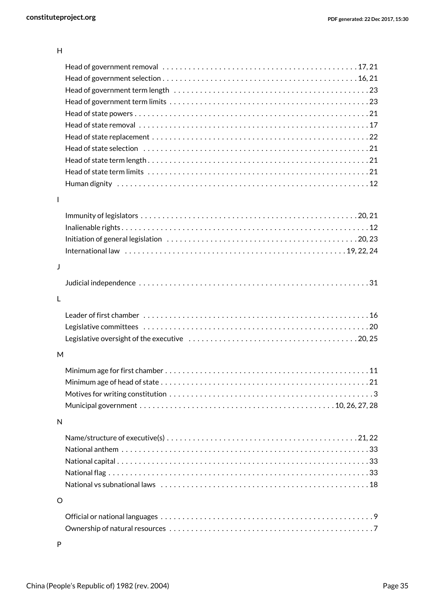| I            |                                                                                                              |
|--------------|--------------------------------------------------------------------------------------------------------------|
|              |                                                                                                              |
|              |                                                                                                              |
|              |                                                                                                              |
|              |                                                                                                              |
| J            |                                                                                                              |
|              |                                                                                                              |
|              |                                                                                                              |
| L            |                                                                                                              |
|              |                                                                                                              |
|              |                                                                                                              |
|              |                                                                                                              |
| M            |                                                                                                              |
|              |                                                                                                              |
|              |                                                                                                              |
|              |                                                                                                              |
|              |                                                                                                              |
|              |                                                                                                              |
| $\mathsf{N}$ |                                                                                                              |
|              | Name/structure of executive(s) $\dots\dots\dots\dots\dots\dots\dots\dots\dots\dots\dots\dots\dots\dots\dots$ |
|              |                                                                                                              |
|              |                                                                                                              |
|              |                                                                                                              |
|              |                                                                                                              |
| O            |                                                                                                              |
|              |                                                                                                              |
|              |                                                                                                              |
|              |                                                                                                              |

P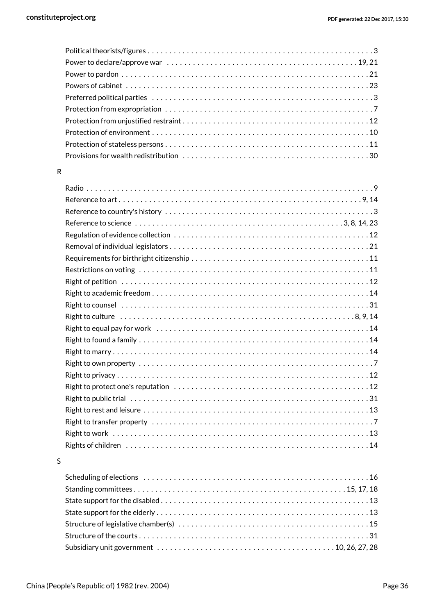#### R

#### S